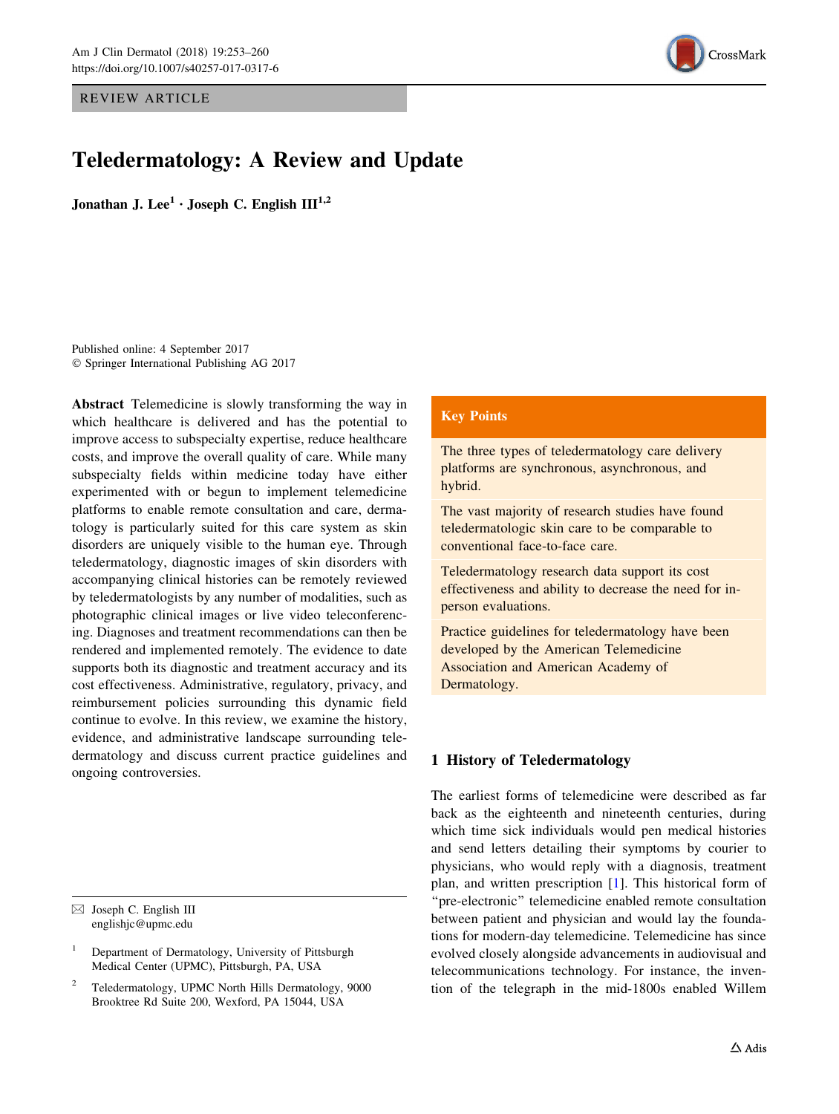REVIEW ARTICLE



# Teledermatology: A Review and Update

Jonathan J. Lee<sup>1</sup> · Joseph C. English  $III^{1,2}$ 

Published online: 4 September 2017 - Springer International Publishing AG 2017

Abstract Telemedicine is slowly transforming the way in which healthcare is delivered and has the potential to improve access to subspecialty expertise, reduce healthcare costs, and improve the overall quality of care. While many subspecialty fields within medicine today have either experimented with or begun to implement telemedicine platforms to enable remote consultation and care, dermatology is particularly suited for this care system as skin disorders are uniquely visible to the human eye. Through teledermatology, diagnostic images of skin disorders with accompanying clinical histories can be remotely reviewed by teledermatologists by any number of modalities, such as photographic clinical images or live video teleconferencing. Diagnoses and treatment recommendations can then be rendered and implemented remotely. The evidence to date supports both its diagnostic and treatment accuracy and its cost effectiveness. Administrative, regulatory, privacy, and reimbursement policies surrounding this dynamic field continue to evolve. In this review, we examine the history, evidence, and administrative landscape surrounding teledermatology and discuss current practice guidelines and ongoing controversies.

 $\boxtimes$  Joseph C. English III englishjc@upmc.edu

## Key Points

The three types of teledermatology care delivery platforms are synchronous, asynchronous, and hybrid.

The vast majority of research studies have found teledermatologic skin care to be comparable to conventional face-to-face care.

Teledermatology research data support its cost effectiveness and ability to decrease the need for inperson evaluations.

Practice guidelines for teledermatology have been developed by the American Telemedicine Association and American Academy of Dermatology.

# 1 History of Teledermatology

The earliest forms of telemedicine were described as far back as the eighteenth and nineteenth centuries, during which time sick individuals would pen medical histories and send letters detailing their symptoms by courier to physicians, who would reply with a diagnosis, treatment plan, and written prescription [\[1](#page-5-0)]. This historical form of ''pre-electronic'' telemedicine enabled remote consultation between patient and physician and would lay the foundations for modern-day telemedicine. Telemedicine has since evolved closely alongside advancements in audiovisual and telecommunications technology. For instance, the invention of the telegraph in the mid-1800s enabled Willem

<sup>1</sup> Department of Dermatology, University of Pittsburgh Medical Center (UPMC), Pittsburgh, PA, USA

<sup>2</sup> Teledermatology, UPMC North Hills Dermatology, 9000 Brooktree Rd Suite 200, Wexford, PA 15044, USA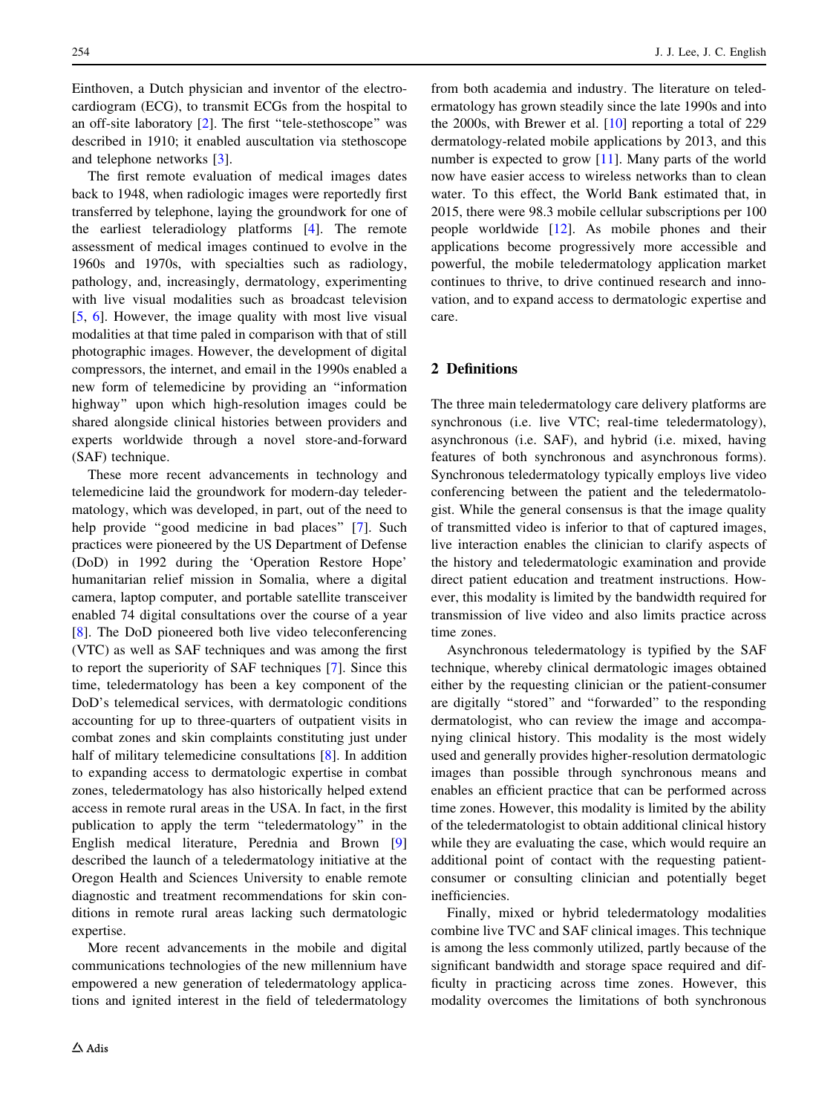Einthoven, a Dutch physician and inventor of the electrocardiogram (ECG), to transmit ECGs from the hospital to an off-site laboratory [\[2](#page-5-0)]. The first ''tele-stethoscope'' was described in 1910; it enabled auscultation via stethoscope and telephone networks [\[3](#page-5-0)].

The first remote evaluation of medical images dates back to 1948, when radiologic images were reportedly first transferred by telephone, laying the groundwork for one of the earliest teleradiology platforms [[4\]](#page-5-0). The remote assessment of medical images continued to evolve in the 1960s and 1970s, with specialties such as radiology, pathology, and, increasingly, dermatology, experimenting with live visual modalities such as broadcast television [\[5](#page-5-0), [6\]](#page-5-0). However, the image quality with most live visual modalities at that time paled in comparison with that of still photographic images. However, the development of digital compressors, the internet, and email in the 1990s enabled a new form of telemedicine by providing an ''information highway'' upon which high-resolution images could be shared alongside clinical histories between providers and experts worldwide through a novel store-and-forward (SAF) technique.

These more recent advancements in technology and telemedicine laid the groundwork for modern-day teledermatology, which was developed, in part, out of the need to help provide "good medicine in bad places" [\[7](#page-5-0)]. Such practices were pioneered by the US Department of Defense (DoD) in 1992 during the 'Operation Restore Hope' humanitarian relief mission in Somalia, where a digital camera, laptop computer, and portable satellite transceiver enabled 74 digital consultations over the course of a year [\[8](#page-5-0)]. The DoD pioneered both live video teleconferencing (VTC) as well as SAF techniques and was among the first to report the superiority of SAF techniques [[7\]](#page-5-0). Since this time, teledermatology has been a key component of the DoD's telemedical services, with dermatologic conditions accounting for up to three-quarters of outpatient visits in combat zones and skin complaints constituting just under half of military telemedicine consultations [[8\]](#page-5-0). In addition to expanding access to dermatologic expertise in combat zones, teledermatology has also historically helped extend access in remote rural areas in the USA. In fact, in the first publication to apply the term ''teledermatology'' in the English medical literature, Perednia and Brown [[9\]](#page-5-0) described the launch of a teledermatology initiative at the Oregon Health and Sciences University to enable remote diagnostic and treatment recommendations for skin conditions in remote rural areas lacking such dermatologic expertise.

More recent advancements in the mobile and digital communications technologies of the new millennium have empowered a new generation of teledermatology applications and ignited interest in the field of teledermatology from both academia and industry. The literature on teledermatology has grown steadily since the late 1990s and into the 2000s, with Brewer et al. [\[10](#page-5-0)] reporting a total of 229 dermatology-related mobile applications by 2013, and this number is expected to grow [\[11](#page-5-0)]. Many parts of the world now have easier access to wireless networks than to clean water. To this effect, the World Bank estimated that, in 2015, there were 98.3 mobile cellular subscriptions per 100 people worldwide [\[12](#page-5-0)]. As mobile phones and their applications become progressively more accessible and powerful, the mobile teledermatology application market continues to thrive, to drive continued research and innovation, and to expand access to dermatologic expertise and care.

## 2 Definitions

The three main teledermatology care delivery platforms are synchronous (i.e. live VTC; real-time teledermatology), asynchronous (i.e. SAF), and hybrid (i.e. mixed, having features of both synchronous and asynchronous forms). Synchronous teledermatology typically employs live video conferencing between the patient and the teledermatologist. While the general consensus is that the image quality of transmitted video is inferior to that of captured images, live interaction enables the clinician to clarify aspects of the history and teledermatologic examination and provide direct patient education and treatment instructions. However, this modality is limited by the bandwidth required for transmission of live video and also limits practice across time zones.

Asynchronous teledermatology is typified by the SAF technique, whereby clinical dermatologic images obtained either by the requesting clinician or the patient-consumer are digitally ''stored'' and ''forwarded'' to the responding dermatologist, who can review the image and accompanying clinical history. This modality is the most widely used and generally provides higher-resolution dermatologic images than possible through synchronous means and enables an efficient practice that can be performed across time zones. However, this modality is limited by the ability of the teledermatologist to obtain additional clinical history while they are evaluating the case, which would require an additional point of contact with the requesting patientconsumer or consulting clinician and potentially beget inefficiencies.

Finally, mixed or hybrid teledermatology modalities combine live TVC and SAF clinical images. This technique is among the less commonly utilized, partly because of the significant bandwidth and storage space required and difficulty in practicing across time zones. However, this modality overcomes the limitations of both synchronous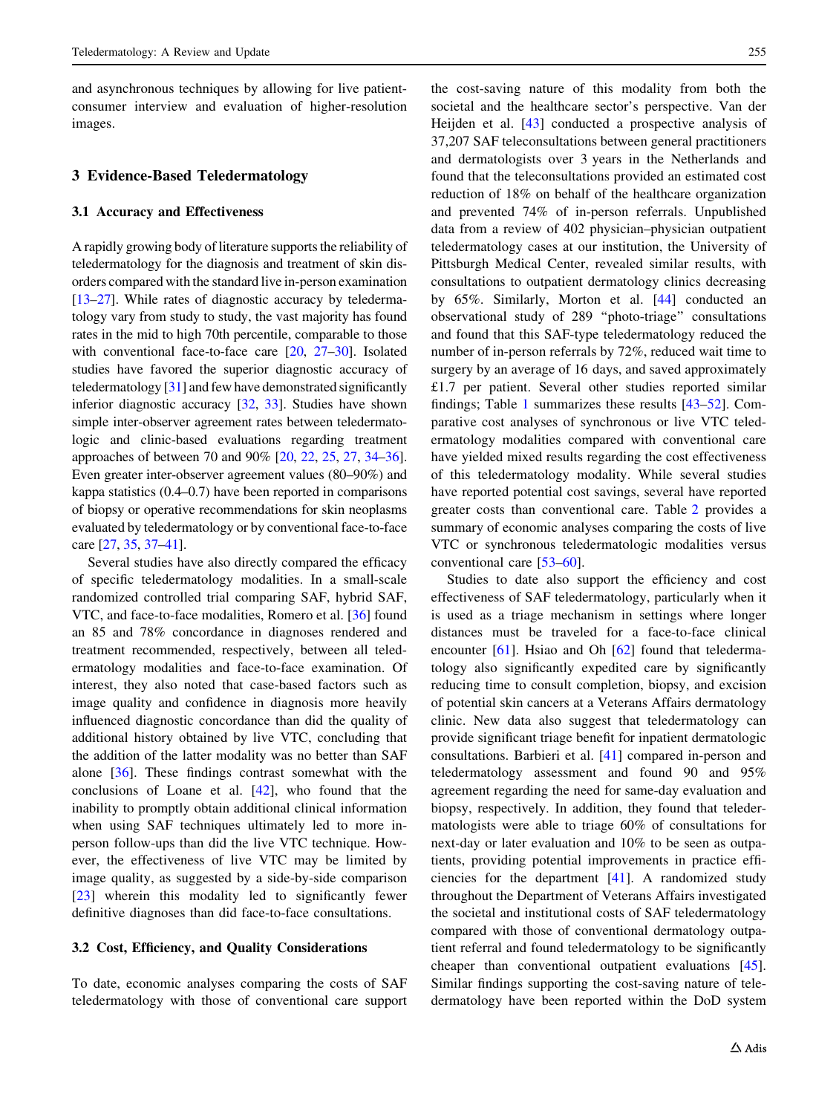and asynchronous techniques by allowing for live patientconsumer interview and evaluation of higher-resolution images.

## 3 Evidence-Based Teledermatology

#### 3.1 Accuracy and Effectiveness

A rapidly growing body of literature supports the reliability of teledermatology for the diagnosis and treatment of skin disorders compared with the standard live in-person examination [\[13](#page-5-0)–[27\]](#page-6-0). While rates of diagnostic accuracy by teledermatology vary from study to study, the vast majority has found rates in the mid to high 70th percentile, comparable to those with conventional face-to-face care [[20](#page-6-0), [27–30](#page-6-0)]. Isolated studies have favored the superior diagnostic accuracy of teledermatology [[31](#page-6-0)] and few have demonstrated significantly inferior diagnostic accuracy [\[32](#page-6-0), [33\]](#page-6-0). Studies have shown simple inter-observer agreement rates between teledermatologic and clinic-based evaluations regarding treatment approaches of between 70 and 90% [[20](#page-6-0), [22](#page-6-0), [25,](#page-6-0) [27,](#page-6-0) [34–36](#page-6-0)]. Even greater inter-observer agreement values (80–90%) and kappa statistics (0.4–0.7) have been reported in comparisons of biopsy or operative recommendations for skin neoplasms evaluated by teledermatology or by conventional face-to-face care [\[27,](#page-6-0) [35,](#page-6-0) [37–41\]](#page-6-0).

Several studies have also directly compared the efficacy of specific teledermatology modalities. In a small-scale randomized controlled trial comparing SAF, hybrid SAF, VTC, and face-to-face modalities, Romero et al. [\[36](#page-6-0)] found an 85 and 78% concordance in diagnoses rendered and treatment recommended, respectively, between all teledermatology modalities and face-to-face examination. Of interest, they also noted that case-based factors such as image quality and confidence in diagnosis more heavily influenced diagnostic concordance than did the quality of additional history obtained by live VTC, concluding that the addition of the latter modality was no better than SAF alone [[36\]](#page-6-0). These findings contrast somewhat with the conclusions of Loane et al. [[42\]](#page-6-0), who found that the inability to promptly obtain additional clinical information when using SAF techniques ultimately led to more inperson follow-ups than did the live VTC technique. However, the effectiveness of live VTC may be limited by image quality, as suggested by a side-by-side comparison [\[23](#page-6-0)] wherein this modality led to significantly fewer definitive diagnoses than did face-to-face consultations.

## 3.2 Cost, Efficiency, and Quality Considerations

To date, economic analyses comparing the costs of SAF teledermatology with those of conventional care support the cost-saving nature of this modality from both the societal and the healthcare sector's perspective. Van der Heijden et al. [\[43](#page-6-0)] conducted a prospective analysis of 37,207 SAF teleconsultations between general practitioners and dermatologists over 3 years in the Netherlands and found that the teleconsultations provided an estimated cost reduction of 18% on behalf of the healthcare organization and prevented 74% of in-person referrals. Unpublished data from a review of 402 physician–physician outpatient teledermatology cases at our institution, the University of Pittsburgh Medical Center, revealed similar results, with consultations to outpatient dermatology clinics decreasing by 65%. Similarly, Morton et al. [\[44\]](#page-6-0) conducted an observational study of 289 ''photo-triage'' consultations and found that this SAF-type teledermatology reduced the number of in-person referrals by 72%, reduced wait time to surgery by an average of 16 days, and saved approximately £1.7 per patient. Several other studies reported similar findings; Table [1](#page-3-0) summarizes these results [\[43–52](#page-6-0)]. Comparative cost analyses of synchronous or live VTC teledermatology modalities compared with conventional care have yielded mixed results regarding the cost effectiveness of this teledermatology modality. While several studies have reported potential cost savings, several have reported greater costs than conventional care. Table [2](#page-3-0) provides a summary of economic analyses comparing the costs of live VTC or synchronous teledermatologic modalities versus conventional care [[53–](#page-6-0)[60\]](#page-7-0).

Studies to date also support the efficiency and cost effectiveness of SAF teledermatology, particularly when it is used as a triage mechanism in settings where longer distances must be traveled for a face-to-face clinical encounter [[61\]](#page-7-0). Hsiao and Oh [[62\]](#page-7-0) found that teledermatology also significantly expedited care by significantly reducing time to consult completion, biopsy, and excision of potential skin cancers at a Veterans Affairs dermatology clinic. New data also suggest that teledermatology can provide significant triage benefit for inpatient dermatologic consultations. Barbieri et al. [[41\]](#page-6-0) compared in-person and teledermatology assessment and found 90 and 95% agreement regarding the need for same-day evaluation and biopsy, respectively. In addition, they found that teledermatologists were able to triage 60% of consultations for next-day or later evaluation and 10% to be seen as outpatients, providing potential improvements in practice efficiencies for the department [[41\]](#page-6-0). A randomized study throughout the Department of Veterans Affairs investigated the societal and institutional costs of SAF teledermatology compared with those of conventional dermatology outpatient referral and found teledermatology to be significantly cheaper than conventional outpatient evaluations [\[45](#page-6-0)]. Similar findings supporting the cost-saving nature of teledermatology have been reported within the DoD system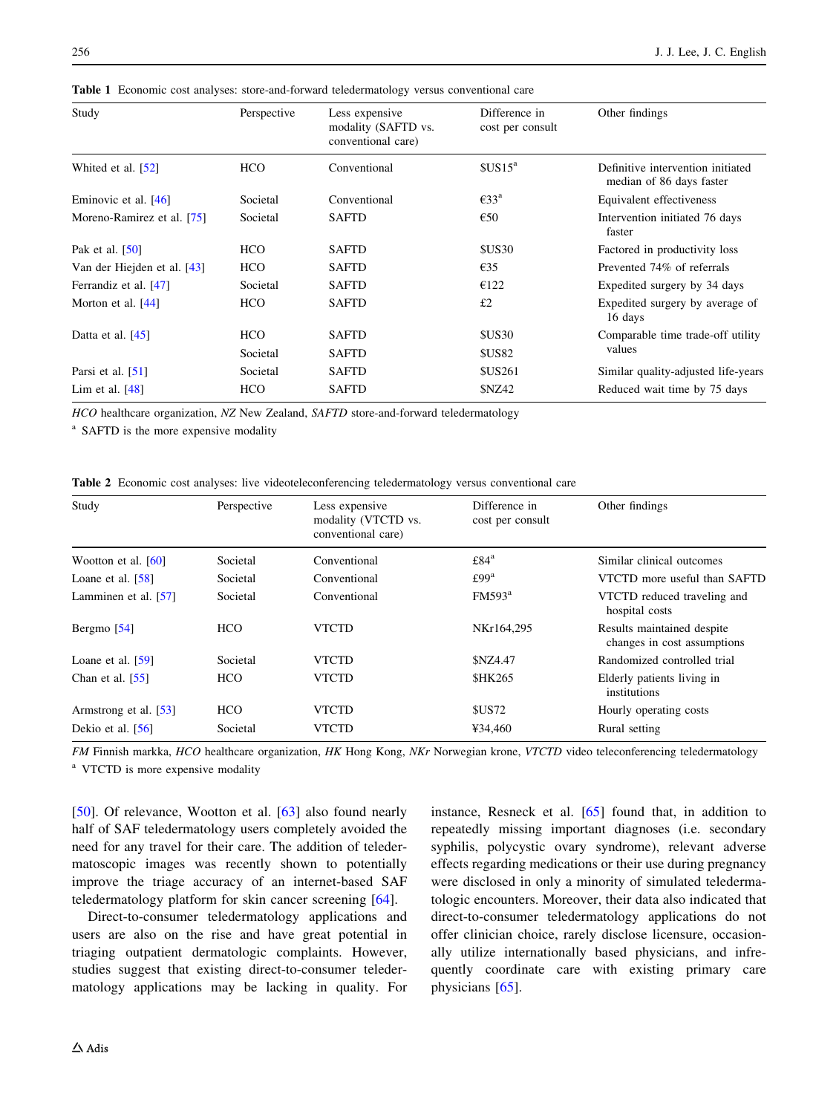| Study                       | Perspective | Less expensive<br>modality (SAFTD vs.<br>conventional care) | Difference in<br>cost per consult | Other findings                                                |
|-----------------------------|-------------|-------------------------------------------------------------|-----------------------------------|---------------------------------------------------------------|
| Whited et al. [52]          | <b>HCO</b>  | Conventional                                                | $SUS15^a$                         | Definitive intervention initiated<br>median of 86 days faster |
| Eminovic et al. [46]        | Societal    | Conventional                                                | $\epsilon$ 33 <sup>a</sup>        | Equivalent effectiveness                                      |
| Moreno-Ramirez et al. [75]  | Societal    | <b>SAFTD</b>                                                | €50                               | Intervention initiated 76 days<br>faster                      |
| Pak et al. [50]             | <b>HCO</b>  | <b>SAFTD</b>                                                | <b>\$US30</b>                     | Factored in productivity loss                                 |
| Van der Hiejden et al. [43] | <b>HCO</b>  | <b>SAFTD</b>                                                | $\epsilon$ 35                     | Prevented 74% of referrals                                    |
| Ferrandiz et al. [47]       | Societal    | <b>SAFTD</b>                                                | €122                              | Expedited surgery by 34 days                                  |
| Morton et al. $[44]$        | <b>HCO</b>  | <b>SAFTD</b>                                                | £2                                | Expedited surgery by average of<br>16 days                    |
| Datta et al. $[45]$         | <b>HCO</b>  | <b>SAFTD</b>                                                | <b>\$US30</b>                     | Comparable time trade-off utility<br>values                   |
|                             | Societal    | <b>SAFTD</b>                                                | <b>\$US82</b>                     |                                                               |
| Parsi et al. $[51]$         | Societal    | <b>SAFTD</b>                                                | <b>\$US261</b>                    | Similar quality-adjusted life-years                           |
| Lim et al. $[48]$           | HCO         | <b>SAFTD</b>                                                | <b>\$NZ42</b>                     | Reduced wait time by 75 days                                  |

<span id="page-3-0"></span>Table 1 Economic cost analyses: store-and-forward teledermatology versus conventional care

HCO healthcare organization, NZ New Zealand, SAFTD store-and-forward teledermatology

<sup>a</sup> SAFTD is the more expensive modality

Table 2 Economic cost analyses: live videoteleconferencing teledermatology versus conventional care

| Study                 | Perspective | Less expensive<br>modality (VTCTD vs.<br>conventional care) | Difference in<br>cost per consult | Other findings                                            |
|-----------------------|-------------|-------------------------------------------------------------|-----------------------------------|-----------------------------------------------------------|
| Wootton et al. $[60]$ | Societal    | Conventional                                                | £84 <sup>a</sup>                  | Similar clinical outcomes                                 |
| Loane et al. $[58]$   | Societal    | Conventional                                                | £99 <sup>a</sup>                  | VTCTD more useful than SAFTD                              |
| Lamminen et al. [57]  | Societal    | Conventional                                                | FM593 <sup>a</sup>                | VTCTD reduced traveling and<br>hospital costs             |
| Bergmo $[54]$         | <b>HCO</b>  | <b>VTCTD</b>                                                | NKr164,295                        | Results maintained despite<br>changes in cost assumptions |
| Loane et al. $[59]$   | Societal    | <b>VTCTD</b>                                                | <b>SNZ4.47</b>                    | Randomized controlled trial                               |
| Chan et al. $[55]$    | <b>HCO</b>  | <b>VTCTD</b>                                                | <b>SHK265</b>                     | Elderly patients living in<br>institutions                |
| Armstrong et al. [53] | <b>HCO</b>  | <b>VTCTD</b>                                                | <b>SUS72</b>                      | Hourly operating costs                                    |
| Dekio et al. [56]     | Societal    | <b>VTCTD</b>                                                | ¥34,460                           | Rural setting                                             |

FM Finnish markka, HCO healthcare organization, HK Hong Kong, NKr Norwegian krone, VTCTD video teleconferencing teledermatology <sup>a</sup> VTCTD is more expensive modality

[\[50](#page-6-0)]. Of relevance, Wootton et al. [[63\]](#page-7-0) also found nearly half of SAF teledermatology users completely avoided the need for any travel for their care. The addition of teledermatoscopic images was recently shown to potentially improve the triage accuracy of an internet-based SAF teledermatology platform for skin cancer screening [[64\]](#page-7-0).

Direct-to-consumer teledermatology applications and users are also on the rise and have great potential in triaging outpatient dermatologic complaints. However, studies suggest that existing direct-to-consumer teledermatology applications may be lacking in quality. For instance, Resneck et al. [\[65](#page-7-0)] found that, in addition to repeatedly missing important diagnoses (i.e. secondary syphilis, polycystic ovary syndrome), relevant adverse effects regarding medications or their use during pregnancy were disclosed in only a minority of simulated teledermatologic encounters. Moreover, their data also indicated that direct-to-consumer teledermatology applications do not offer clinician choice, rarely disclose licensure, occasionally utilize internationally based physicians, and infrequently coordinate care with existing primary care physicians [[65\]](#page-7-0).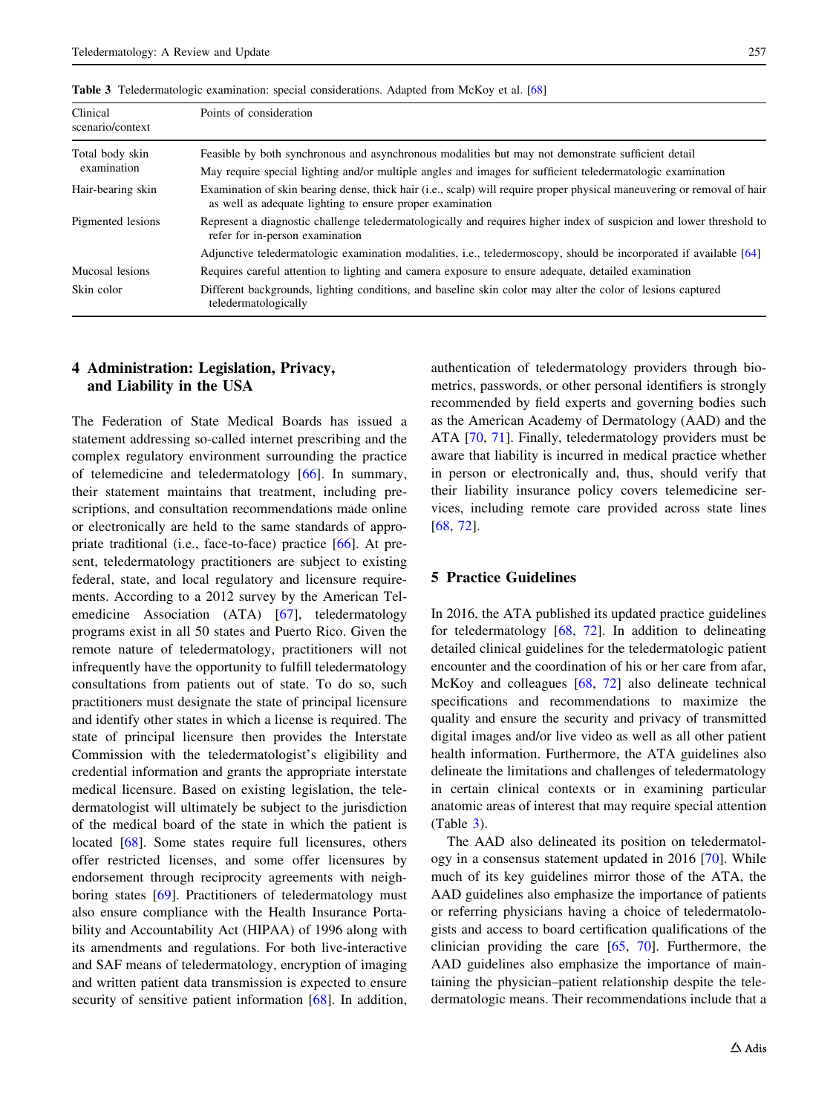| Clinical<br>scenario/context   | Points of consideration                                                                                                                                                                                          |  |  |  |
|--------------------------------|------------------------------------------------------------------------------------------------------------------------------------------------------------------------------------------------------------------|--|--|--|
| Total body skin<br>examination | Feasible by both synchronous and asynchronous modalities but may not demonstrate sufficient detail<br>May require special lighting and/or multiple angles and images for sufficient teledermatologic examination |  |  |  |
| Hair-bearing skin              | Examination of skin bearing dense, thick hair (i.e., scalp) will require proper physical maneuvering or removal of hair<br>as well as adequate lighting to ensure proper examination                             |  |  |  |
| Pigmented lesions              | Represent a diagnostic challenge teledermatologically and requires higher index of suspicion and lower threshold to<br>refer for in-person examination                                                           |  |  |  |
|                                | Adjunctive teledermatologic examination modalities, i.e., teledermoscopy, should be incorporated if available [64]                                                                                               |  |  |  |
| Mucosal lesions                | Requires careful attention to lighting and camera exposure to ensure adequate, detailed examination                                                                                                              |  |  |  |
| Skin color                     | Different backgrounds, lighting conditions, and baseline skin color may alter the color of lesions captured<br>teledermatologically                                                                              |  |  |  |

Table 3 Teledermatologic examination: special considerations. Adapted from McKoy et al. [\[68\]](#page-7-0)

## 4 Administration: Legislation, Privacy, and Liability in the USA

The Federation of State Medical Boards has issued a statement addressing so-called internet prescribing and the complex regulatory environment surrounding the practice of telemedicine and teledermatology [[66\]](#page-7-0). In summary, their statement maintains that treatment, including prescriptions, and consultation recommendations made online or electronically are held to the same standards of appropriate traditional (i.e., face-to-face) practice [\[66](#page-7-0)]. At present, teledermatology practitioners are subject to existing federal, state, and local regulatory and licensure requirements. According to a 2012 survey by the American Tel-emedicine Association (ATA) [[67\]](#page-7-0), teledermatology programs exist in all 50 states and Puerto Rico. Given the remote nature of teledermatology, practitioners will not infrequently have the opportunity to fulfill teledermatology consultations from patients out of state. To do so, such practitioners must designate the state of principal licensure and identify other states in which a license is required. The state of principal licensure then provides the Interstate Commission with the teledermatologist's eligibility and credential information and grants the appropriate interstate medical licensure. Based on existing legislation, the teledermatologist will ultimately be subject to the jurisdiction of the medical board of the state in which the patient is located [\[68](#page-7-0)]. Some states require full licensures, others offer restricted licenses, and some offer licensures by endorsement through reciprocity agreements with neighboring states [[69\]](#page-7-0). Practitioners of teledermatology must also ensure compliance with the Health Insurance Portability and Accountability Act (HIPAA) of 1996 along with its amendments and regulations. For both live-interactive and SAF means of teledermatology, encryption of imaging and written patient data transmission is expected to ensure security of sensitive patient information [\[68](#page-7-0)]. In addition, authentication of teledermatology providers through biometrics, passwords, or other personal identifiers is strongly recommended by field experts and governing bodies such as the American Academy of Dermatology (AAD) and the ATA [\[70](#page-7-0), [71](#page-7-0)]. Finally, teledermatology providers must be aware that liability is incurred in medical practice whether in person or electronically and, thus, should verify that their liability insurance policy covers telemedicine services, including remote care provided across state lines [\[68](#page-7-0), [72](#page-7-0)].

## 5 Practice Guidelines

In 2016, the ATA published its updated practice guidelines for teledermatology [[68,](#page-7-0) [72](#page-7-0)]. In addition to delineating detailed clinical guidelines for the teledermatologic patient encounter and the coordination of his or her care from afar, McKoy and colleagues [[68,](#page-7-0) [72](#page-7-0)] also delineate technical specifications and recommendations to maximize the quality and ensure the security and privacy of transmitted digital images and/or live video as well as all other patient health information. Furthermore, the ATA guidelines also delineate the limitations and challenges of teledermatology in certain clinical contexts or in examining particular anatomic areas of interest that may require special attention (Table 3).

The AAD also delineated its position on teledermatology in a consensus statement updated in 2016 [[70\]](#page-7-0). While much of its key guidelines mirror those of the ATA, the AAD guidelines also emphasize the importance of patients or referring physicians having a choice of teledermatologists and access to board certification qualifications of the clinician providing the care [\[65](#page-7-0), [70](#page-7-0)]. Furthermore, the AAD guidelines also emphasize the importance of maintaining the physician–patient relationship despite the teledermatologic means. Their recommendations include that a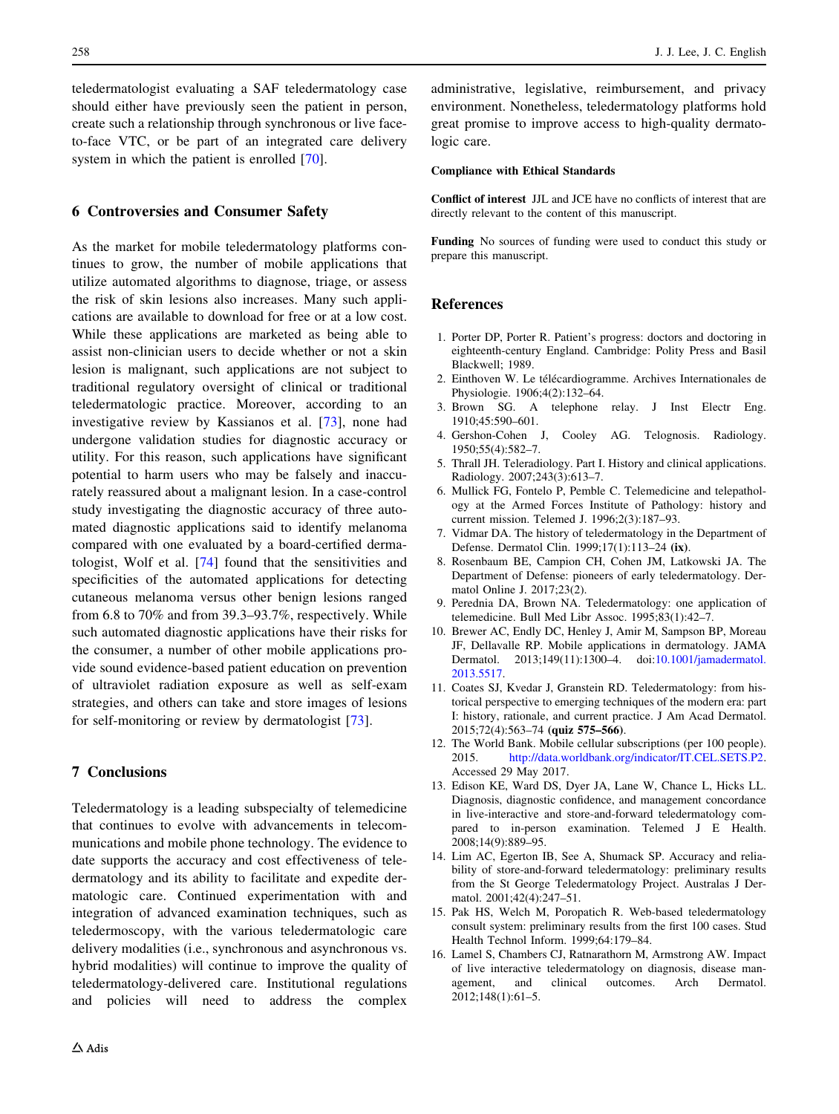<span id="page-5-0"></span>teledermatologist evaluating a SAF teledermatology case should either have previously seen the patient in person, create such a relationship through synchronous or live faceto-face VTC, or be part of an integrated care delivery system in which the patient is enrolled [[70\]](#page-7-0).

## 6 Controversies and Consumer Safety

As the market for mobile teledermatology platforms continues to grow, the number of mobile applications that utilize automated algorithms to diagnose, triage, or assess the risk of skin lesions also increases. Many such applications are available to download for free or at a low cost. While these applications are marketed as being able to assist non-clinician users to decide whether or not a skin lesion is malignant, such applications are not subject to traditional regulatory oversight of clinical or traditional teledermatologic practice. Moreover, according to an investigative review by Kassianos et al. [[73\]](#page-7-0), none had undergone validation studies for diagnostic accuracy or utility. For this reason, such applications have significant potential to harm users who may be falsely and inaccurately reassured about a malignant lesion. In a case-control study investigating the diagnostic accuracy of three automated diagnostic applications said to identify melanoma compared with one evaluated by a board-certified dermatologist, Wolf et al. [[74\]](#page-7-0) found that the sensitivities and specificities of the automated applications for detecting cutaneous melanoma versus other benign lesions ranged from 6.8 to 70% and from 39.3–93.7%, respectively. While such automated diagnostic applications have their risks for the consumer, a number of other mobile applications provide sound evidence-based patient education on prevention of ultraviolet radiation exposure as well as self-exam strategies, and others can take and store images of lesions for self-monitoring or review by dermatologist [[73\]](#page-7-0).

## 7 Conclusions

Teledermatology is a leading subspecialty of telemedicine that continues to evolve with advancements in telecommunications and mobile phone technology. The evidence to date supports the accuracy and cost effectiveness of teledermatology and its ability to facilitate and expedite dermatologic care. Continued experimentation with and integration of advanced examination techniques, such as teledermoscopy, with the various teledermatologic care delivery modalities (i.e., synchronous and asynchronous vs. hybrid modalities) will continue to improve the quality of teledermatology-delivered care. Institutional regulations and policies will need to address the complex

administrative, legislative, reimbursement, and privacy environment. Nonetheless, teledermatology platforms hold great promise to improve access to high-quality dermatologic care.

#### Compliance with Ethical Standards

Conflict of interest JJL and JCE have no conflicts of interest that are directly relevant to the content of this manuscript.

Funding No sources of funding were used to conduct this study or prepare this manuscript.

#### References

- 1. Porter DP, Porter R. Patient's progress: doctors and doctoring in eighteenth-century England. Cambridge: Polity Press and Basil Blackwell; 1989.
- 2. Einthoven W. Le télécardiogramme. Archives Internationales de Physiologie. 1906;4(2):132–64.
- 3. Brown SG. A telephone relay. J Inst Electr Eng. 1910;45:590–601.
- 4. Gershon-Cohen J, Cooley AG. Telognosis. Radiology. 1950;55(4):582–7.
- 5. Thrall JH. Teleradiology. Part I. History and clinical applications. Radiology. 2007;243(3):613–7.
- 6. Mullick FG, Fontelo P, Pemble C. Telemedicine and telepathology at the Armed Forces Institute of Pathology: history and current mission. Telemed J. 1996;2(3):187–93.
- 7. Vidmar DA. The history of teledermatology in the Department of Defense. Dermatol Clin. 1999;17(1):113–24 (ix).
- 8. Rosenbaum BE, Campion CH, Cohen JM, Latkowski JA. The Department of Defense: pioneers of early teledermatology. Dermatol Online J. 2017;23(2).
- 9. Perednia DA, Brown NA. Teledermatology: one application of telemedicine. Bull Med Libr Assoc. 1995;83(1):42–7.
- 10. Brewer AC, Endly DC, Henley J, Amir M, Sampson BP, Moreau JF, Dellavalle RP. Mobile applications in dermatology. JAMA Dermatol. 2013;149(11):1300–4. doi[:10.1001/jamadermatol.](http://dx.doi.org/10.1001/jamadermatol.2013.5517) [2013.5517.](http://dx.doi.org/10.1001/jamadermatol.2013.5517)
- 11. Coates SJ, Kvedar J, Granstein RD. Teledermatology: from historical perspective to emerging techniques of the modern era: part I: history, rationale, and current practice. J Am Acad Dermatol. 2015;72(4):563–74 (quiz 575–566).
- 12. The World Bank. Mobile cellular subscriptions (per 100 people). 2015. <http://data.worldbank.org/indicator/IT.CEL.SETS.P2>. Accessed 29 May 2017.
- 13. Edison KE, Ward DS, Dyer JA, Lane W, Chance L, Hicks LL. Diagnosis, diagnostic confidence, and management concordance in live-interactive and store-and-forward teledermatology compared to in-person examination. Telemed J E Health. 2008;14(9):889–95.
- 14. Lim AC, Egerton IB, See A, Shumack SP. Accuracy and reliability of store-and-forward teledermatology: preliminary results from the St George Teledermatology Project. Australas J Dermatol. 2001;42(4):247–51.
- 15. Pak HS, Welch M, Poropatich R. Web-based teledermatology consult system: preliminary results from the first 100 cases. Stud Health Technol Inform. 1999;64:179–84.
- 16. Lamel S, Chambers CJ, Ratnarathorn M, Armstrong AW. Impact of live interactive teledermatology on diagnosis, disease management, and clinical outcomes. Arch Dermatol. 2012;148(1):61–5.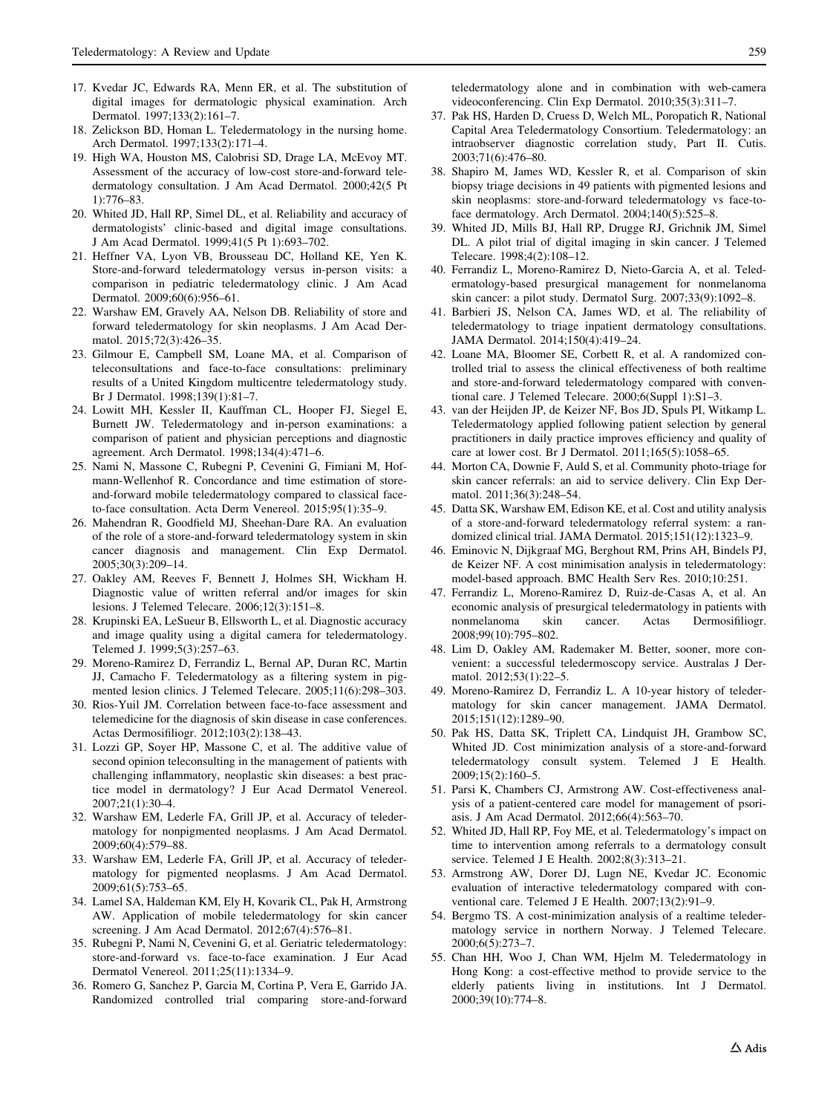- <span id="page-6-0"></span>17. Kvedar JC, Edwards RA, Menn ER, et al. The substitution of digital images for dermatologic physical examination. Arch Dermatol. 1997;133(2):161–7.
- 18. Zelickson BD, Homan L. Teledermatology in the nursing home. Arch Dermatol. 1997;133(2):171–4.
- 19. High WA, Houston MS, Calobrisi SD, Drage LA, McEvoy MT. Assessment of the accuracy of low-cost store-and-forward teledermatology consultation. J Am Acad Dermatol. 2000;42(5 Pt 1):776–83.
- 20. Whited JD, Hall RP, Simel DL, et al. Reliability and accuracy of dermatologists' clinic-based and digital image consultations. J Am Acad Dermatol. 1999;41(5 Pt 1):693–702.
- 21. Heffner VA, Lyon VB, Brousseau DC, Holland KE, Yen K. Store-and-forward teledermatology versus in-person visits: a comparison in pediatric teledermatology clinic. J Am Acad Dermatol. 2009;60(6):956–61.
- 22. Warshaw EM, Gravely AA, Nelson DB. Reliability of store and forward teledermatology for skin neoplasms. J Am Acad Dermatol. 2015;72(3):426–35.
- 23. Gilmour E, Campbell SM, Loane MA, et al. Comparison of teleconsultations and face-to-face consultations: preliminary results of a United Kingdom multicentre teledermatology study. Br J Dermatol. 1998;139(1):81–7.
- 24. Lowitt MH, Kessler II, Kauffman CL, Hooper FJ, Siegel E, Burnett JW. Teledermatology and in-person examinations: a comparison of patient and physician perceptions and diagnostic agreement. Arch Dermatol. 1998;134(4):471–6.
- 25. Nami N, Massone C, Rubegni P, Cevenini G, Fimiani M, Hofmann-Wellenhof R. Concordance and time estimation of storeand-forward mobile teledermatology compared to classical faceto-face consultation. Acta Derm Venereol. 2015;95(1):35–9.
- 26. Mahendran R, Goodfield MJ, Sheehan-Dare RA. An evaluation of the role of a store-and-forward teledermatology system in skin cancer diagnosis and management. Clin Exp Dermatol. 2005;30(3):209–14.
- 27. Oakley AM, Reeves F, Bennett J, Holmes SH, Wickham H. Diagnostic value of written referral and/or images for skin lesions. J Telemed Telecare. 2006;12(3):151–8.
- 28. Krupinski EA, LeSueur B, Ellsworth L, et al. Diagnostic accuracy and image quality using a digital camera for teledermatology. Telemed J. 1999;5(3):257–63.
- 29. Moreno-Ramirez D, Ferrandiz L, Bernal AP, Duran RC, Martin JJ, Camacho F. Teledermatology as a filtering system in pigmented lesion clinics. J Telemed Telecare. 2005;11(6):298–303.
- 30. Rios-Yuil JM. Correlation between face-to-face assessment and telemedicine for the diagnosis of skin disease in case conferences. Actas Dermosifiliogr. 2012;103(2):138–43.
- 31. Lozzi GP, Soyer HP, Massone C, et al. The additive value of second opinion teleconsulting in the management of patients with challenging inflammatory, neoplastic skin diseases: a best practice model in dermatology? J Eur Acad Dermatol Venereol. 2007;21(1):30–4.
- 32. Warshaw EM, Lederle FA, Grill JP, et al. Accuracy of teledermatology for nonpigmented neoplasms. J Am Acad Dermatol. 2009;60(4):579–88.
- 33. Warshaw EM, Lederle FA, Grill JP, et al. Accuracy of teledermatology for pigmented neoplasms. J Am Acad Dermatol. 2009;61(5):753–65.
- 34. Lamel SA, Haldeman KM, Ely H, Kovarik CL, Pak H, Armstrong AW. Application of mobile teledermatology for skin cancer screening. J Am Acad Dermatol. 2012;67(4):576–81.
- 35. Rubegni P, Nami N, Cevenini G, et al. Geriatric teledermatology: store-and-forward vs. face-to-face examination. J Eur Acad Dermatol Venereol. 2011;25(11):1334–9.
- 36. Romero G, Sanchez P, Garcia M, Cortina P, Vera E, Garrido JA. Randomized controlled trial comparing store-and-forward

teledermatology alone and in combination with web-camera videoconferencing. Clin Exp Dermatol. 2010;35(3):311–7.

- 37. Pak HS, Harden D, Cruess D, Welch ML, Poropatich R, National Capital Area Teledermatology Consortium. Teledermatology: an intraobserver diagnostic correlation study, Part II. Cutis. 2003;71(6):476–80.
- 38. Shapiro M, James WD, Kessler R, et al. Comparison of skin biopsy triage decisions in 49 patients with pigmented lesions and skin neoplasms: store-and-forward teledermatology vs face-toface dermatology. Arch Dermatol. 2004;140(5):525–8.
- 39. Whited JD, Mills BJ, Hall RP, Drugge RJ, Grichnik JM, Simel DL. A pilot trial of digital imaging in skin cancer. J Telemed Telecare. 1998;4(2):108–12.
- 40. Ferrandiz L, Moreno-Ramirez D, Nieto-Garcia A, et al. Teledermatology-based presurgical management for nonmelanoma skin cancer: a pilot study. Dermatol Surg. 2007;33(9):1092–8.
- 41. Barbieri JS, Nelson CA, James WD, et al. The reliability of teledermatology to triage inpatient dermatology consultations. JAMA Dermatol. 2014;150(4):419–24.
- 42. Loane MA, Bloomer SE, Corbett R, et al. A randomized controlled trial to assess the clinical effectiveness of both realtime and store-and-forward teledermatology compared with conventional care. J Telemed Telecare. 2000;6(Suppl 1):S1–3.
- 43. van der Heijden JP, de Keizer NF, Bos JD, Spuls PI, Witkamp L. Teledermatology applied following patient selection by general practitioners in daily practice improves efficiency and quality of care at lower cost. Br J Dermatol. 2011;165(5):1058–65.
- 44. Morton CA, Downie F, Auld S, et al. Community photo-triage for skin cancer referrals: an aid to service delivery. Clin Exp Dermatol. 2011;36(3):248–54.
- 45. Datta SK, Warshaw EM, Edison KE, et al. Cost and utility analysis of a store-and-forward teledermatology referral system: a randomized clinical trial. JAMA Dermatol. 2015;151(12):1323–9.
- 46. Eminovic N, Dijkgraaf MG, Berghout RM, Prins AH, Bindels PJ, de Keizer NF. A cost minimisation analysis in teledermatology: model-based approach. BMC Health Serv Res. 2010;10:251.
- 47. Ferrandiz L, Moreno-Ramirez D, Ruiz-de-Casas A, et al. An economic analysis of presurgical teledermatology in patients with nonmelanoma skin cancer. Actas Dermosifiliogr. 2008;99(10):795–802.
- 48. Lim D, Oakley AM, Rademaker M. Better, sooner, more convenient: a successful teledermoscopy service. Australas J Dermatol. 2012;53(1):22–5.
- 49. Moreno-Ramirez D, Ferrandiz L. A 10-year history of teledermatology for skin cancer management. JAMA Dermatol. 2015;151(12):1289–90.
- 50. Pak HS, Datta SK, Triplett CA, Lindquist JH, Grambow SC, Whited JD. Cost minimization analysis of a store-and-forward teledermatology consult system. Telemed J E Health. 2009;15(2):160–5.
- 51. Parsi K, Chambers CJ, Armstrong AW. Cost-effectiveness analysis of a patient-centered care model for management of psoriasis. J Am Acad Dermatol. 2012;66(4):563–70.
- 52. Whited JD, Hall RP, Foy ME, et al. Teledermatology's impact on time to intervention among referrals to a dermatology consult service. Telemed J E Health. 2002;8(3):313–21.
- 53. Armstrong AW, Dorer DJ, Lugn NE, Kvedar JC. Economic evaluation of interactive teledermatology compared with conventional care. Telemed J E Health. 2007;13(2):91–9.
- 54. Bergmo TS. A cost-minimization analysis of a realtime teledermatology service in northern Norway. J Telemed Telecare. 2000;6(5):273–7.
- 55. Chan HH, Woo J, Chan WM, Hjelm M. Teledermatology in Hong Kong: a cost-effective method to provide service to the elderly patients living in institutions. Int J Dermatol. 2000;39(10):774–8.